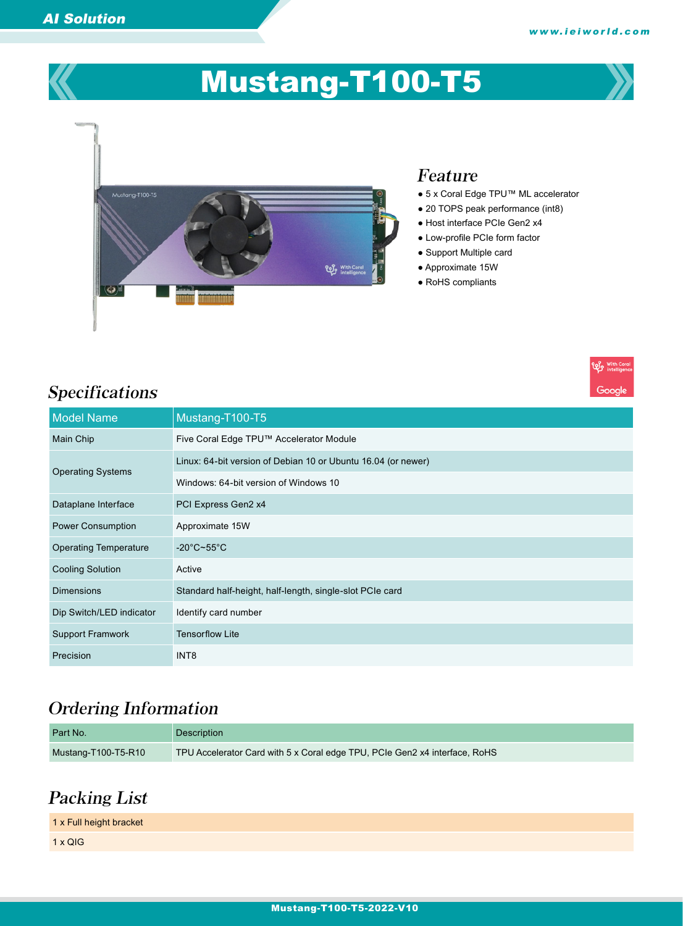**Elle** With Co

Google



# Mustang-T100-T5



### Feature

- 5 x Coral Edge TPU™ ML accelerator
- 20 TOPS peak performance (int8)
- Host interface PCIe Gen2 x4
- Low-profile PCIe form factor
- Support Multiple card
- Approximate 15W
- RoHS compliants

| <b>Model Name</b>            | Mustang-T100-T5                                               |
|------------------------------|---------------------------------------------------------------|
| Main Chip                    | Five Coral Edge TPU™ Accelerator Module                       |
| <b>Operating Systems</b>     | Linux: 64-bit version of Debian 10 or Ubuntu 16.04 (or newer) |
|                              | Windows: 64-bit version of Windows 10                         |
| Dataplane Interface          | PCI Express Gen2 x4                                           |
| <b>Power Consumption</b>     | Approximate 15W                                               |
| <b>Operating Temperature</b> | $-20^{\circ}$ C~55 $^{\circ}$ C                               |
| <b>Cooling Solution</b>      | Active                                                        |
| <b>Dimensions</b>            | Standard half-height, half-length, single-slot PCIe card      |
| Dip Switch/LED indicator     | Identify card number                                          |
| <b>Support Framwork</b>      | <b>Tensorflow Lite</b>                                        |
| Precision                    | INT8                                                          |

## Ordering Information

| Part No.            | Description                                                                |
|---------------------|----------------------------------------------------------------------------|
| Mustang-T100-T5-R10 | TPU Accelerator Card with 5 x Coral edge TPU, PCIe Gen2 x4 interface, RoHS |

## Packing List

| 1 x Full height bracket |  |
|-------------------------|--|
| $1 \times QIG$          |  |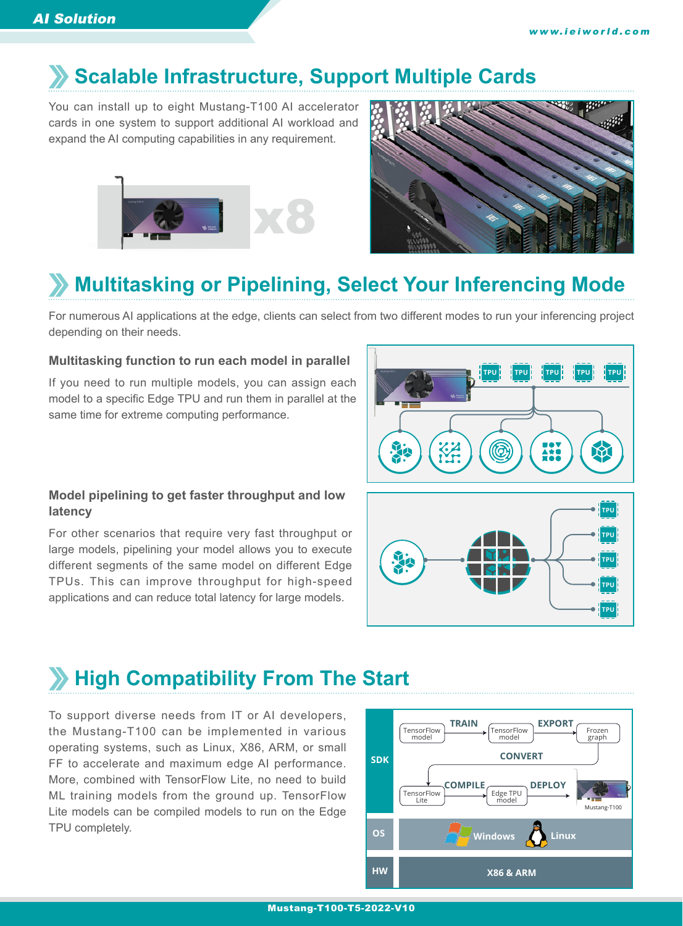## **Scalable Infrastructure, Support Multiple Cards**

You can install up to eight Mustang-T100 AI accelerator cards in one system to support additional AI workload and expand the AI computing capabilities in any requirement.





## **Multitasking or Pipelining, Select Your Inferencing Mode**

For numerous AI applications at the edge, clients can select from two different modes to run your inferencing project depending on their needs.

#### **Multitasking function to run each model in parallel**

If you need to run multiple models, you can assign each model to a specific Edge TPU and run them in parallel at the same time for extreme computing performance.



#### **Model pipelining to get faster throughput and low latency**

For other scenarios that require very fast throughput or large models, pipelining your model allows you to execute different segments of the same model on different Edge TPUs. This can improve throughput for high-speed applications and can reduce total latency for large models.



## **High Compatibility From The Start**

To support diverse needs from IT or AI developers, the Mustang-T100 can be implemented in various operating systems, such as Linux, X86, ARM, or small FF to accelerate and maximum edge AI performance. More, combined with TensorFlow Lite, no need to build ML training models from the ground up. TensorFlow Lite models can be compiled models to run on the Edge TPU completely.